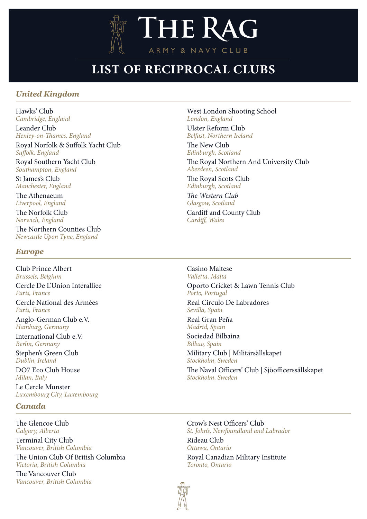

# **LIST OF RECIPROCAL CLUBS**

## *United Kingdom*

[Hawks' Club](https://www.hawksclub.co.uk/) *Cambridge, England*

[Leander Club](https://www.leander.co.uk/) *Henley-on-Thames, England* 

[Royal Norfolk & Suffolk Yacht Club](https://www.rnsyc.net/wordpress/) *Suffolk, England* 

[Royal Southern Yacht Club](https://www.royal-southern.co.uk/) *Southampton, England*

[St James's Club](https://www.stjc.org.uk/) *Manchester, England* 

[The Athenaeum](https://theathenaeum.org.uk/) *Liverpool, England*  [The Norfolk Club](https://www.thenorfolkclub.co.uk/)

*Norwich, England*

[The Northern Counties Club](https://www.northerncountiesclub.co.uk/) *Newcastle Upon Tyne, England*

### *Europe*

[Club Prince Albert](https://sites.google.com/view/prinsalbertclub/homepage) *Brussels, Belgium* [Cercle De L'Union Interalliee](https://union-interalliee.fr/en) *Paris, France* [Cercle National des Armées](https://cnaparis.com/?lang=en) *Paris, France*

[Anglo-German Club e.V.](https://anglogermanclub.de/en/)  *Hamburg, Germany*

[International Club e.V.](http://www.ic-b.de/en/)  *Berlin, Germany*

[Stephen's Green Club](https://www.stephensgreenclub.ie/) *Dublin, Ireland*

[DO7 Eco Club House](https://www.do7.eco/en/) *Milan, Italy*

[Le Cercle Munster](https://munster.lu/) *Luxembourg City, Luxembourg*

## *Canada*

[The Glencoe Club](https://glencoe.org/) *Calgary, Alberta* [Terminal City Club](https://www.tcclub.com/) *Vancouver, British Columbia*

[The Union Club Of British Columbia](https://www.unionclub.com/) *Victoria, British Columbia*

[The Vancouver Club](https://vancouverclub.ca/) *Vancouver, British Columbia* [West London Shooting School](https://www.shootingschool.co.uk/)  *London, England* 

[Ulster Reform Club](http://www.ulsterreformclub.com/) *Belfast, Northern Ireland* 

[The New Club](https://www.newclub.co.uk/) *Edinburgh, Scotland*

[The Royal Northern And University Club](http://www.rnuc.org.uk/) *Aberdeen, Scotland* 

[The Royal Scots Club](https://royalscotsclub.com/) *Edinburgh, Scotland*

*[The Western Club](http://www.westernclub.co.uk/) Glasgow, Scotland*

[Cardiff and County Club](http://www.cardiffandcountyclub.com/) *Cardiff, Wales* 

[Casino Maltese](http://www.thecasinomaltese.com/) *Valletta, Malta* [Oporto Cricket & Lawn Tennis Club](http://www.oportocricketclub.com/) *Porto, Portugal*

[Real Circulo De Labradores](https://www.realcirculodelabradores.com/) *Sevilla, Spain*

[Real Gran Peña](https://en.wikipedia.org/wiki/La_Gran_Pe%C3%B1a) *Madrid, Spain*

[Sociedad Bilbaina](https://sociedadbilbaina.com/en/) *Bilbao, Spain* [Military Club](http://www.militarsallskapet.se/welcome) | Militärsällskapet *Stockholm, Sweden*

[The Naval Officers' Club](http://www.soss.se/) | Sjöofficerssällskapet *Stockholm, Sweden*

[Crow's Nest Officers' Club](https://crowsnestnl.ca/) *St. John's, Newfoundland and Labrador* [Rideau Club](https://rideauclub.ca/) *Ottawa, Ontario* [Royal Canadian Military Institute](https://www.rcmi.org/) *Toronto, Ontario*

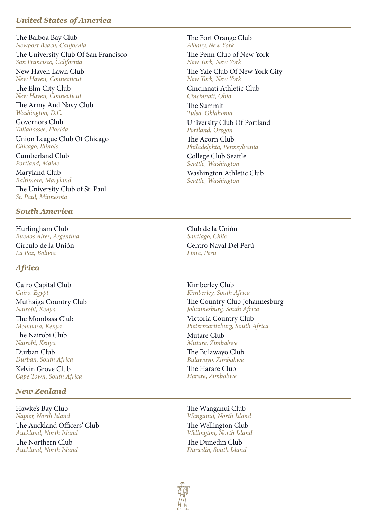## *United States of America*

[The Balboa Bay Club](https://www.balboabayclub.com/) *Newport Beach, California* [The University Club Of San Francisco](https://www.uclubsf.org/) *San Francisco, California*

[New Haven Lawn Club](https://nhlawnclub.com/web/pages/northstar) *New Haven, Connecticut*

[The Elm City Club](https://www.graduateclub.com/) *New Haven, Connecticut*

[The Army And Navy Club](https://www.armynavyclub.org/) *Washington, D.C.*

[Governors Club](https://www.govclub.com/) *Tallahassee, Florida*

[Union League Club Of Chicago](https://ulcc.org/) *Chicago, Illinois*

[Cumberland Club](https://cumberlandclub.org/) *Portland, Maine*

[The University Club of St. Paul](https://www.universityclubofstpaul.com/) *St. Paul, Minnesota* [Maryland Club](https://www.marylandclub1857.org/) *Baltimore, Maryland*

#### *South America*

[Hurlingham Club](http://hurlinghamclub.com.ar/en/the-club/)<br>
Buenos Aires, Argentina<br>
Santiago, Chile<br>
Santiago, Chile  $Buenos Aires, Argentina$ [Círculo de la Unión](http://www.circulodelaunion.com/) *La Paz, Bolivia*

#### *Africa*

[Cairo Capital Club](https://www.facebook.com/CairoCapitalClubEG/)  *Cairo, Egypt*  [Muthaiga Country Club](https://www.mcc.co.ke/) *Nairobi, Kenya*

[The Mombasa Club](https://www.mombasaclub.net/)  *Mombasa, Kenya*

[The Nairobi Club](https://www.nairobiclub.com/) *Nairobi, Kenya*

[Durban Club](https://www.durbanclub.co.za/) *Durban, South Africa*

[Kelvin Grove Club](https://www.kelvingrove.co.za/) *Cape Town, South Africa*

#### *New Zealand*

[Hawke's Bay Club](https://hawkesbayclub.nz/home/) *Napier, North Island* [The Auckland Officers' Club](http://aucklandofficersclub.co.nz/) *Auckland, North Island*

[The Northern Club](https://www.northernclub.co.nz/) *Auckland, North Island* [The Fort Orange Club](https://www.fortorangeclub.com/) *Albany, New York* [The Penn Club of New York](https://www.pennclub.org/)

*New York, New York*

[The Yale Club Of New York City](https://www.yaleclubnyc.org/) *New York, New York*

[Cincinnati Athletic Club](http://www.cincinnatiathleticclub.com/) *Cincinnati, Ohio*

[The Summit](https://www.summittulsa.com/) *Tulsa, Oklahoma* [University Club Of Portland](https://www.uclubpdx.com/) *Portland, Oregon*

[The Acorn Club](https://www.acornclub.org/) *Philadelphia, Pennsylvania*

[College Club Seattle](https://www.collegeclubseattle.com/) *Seattle, Washington*

[Washington Athletic Club](https://www.wac.net/) *Seattle, Washington*

[Centro Naval Del Perú](http://www.centronaval.org.pe/) *Lima, Peru*

[Kimberley Club](https://www.kimberleyclub.co.za/) *Kimberley, South Africa* 

[The Country Club Johannesburg](https://thecountryclub.co.za/) *Johannesburg, South Africa* 

[Victoria Country Club](https://www.victoria.co.za/) *Pietermaritzburg, South Africa*

[Mutare Club](https://www.facebook.com/ClubMutare/) *Mutare, Zimbabwe* [The Bulawayo Club](https://www.bulawayoclub.com/)

*Bulawayo, Zimbabwe* [The Harare Club](https://harareclubhotel.co.zw/)

*Harare, Zimbabwe*

[The Wanganui Club](mailto:nfpetherick%40extra.co.nz?subject=) *Wanganui, North Island*

[The Wellington Club](https://www.wellingtonclub.co.nz/) *Wellington, North Island*

[The Dunedin Club](http://www.dunedinclub.co.nz/) *Dunedin, South Island*